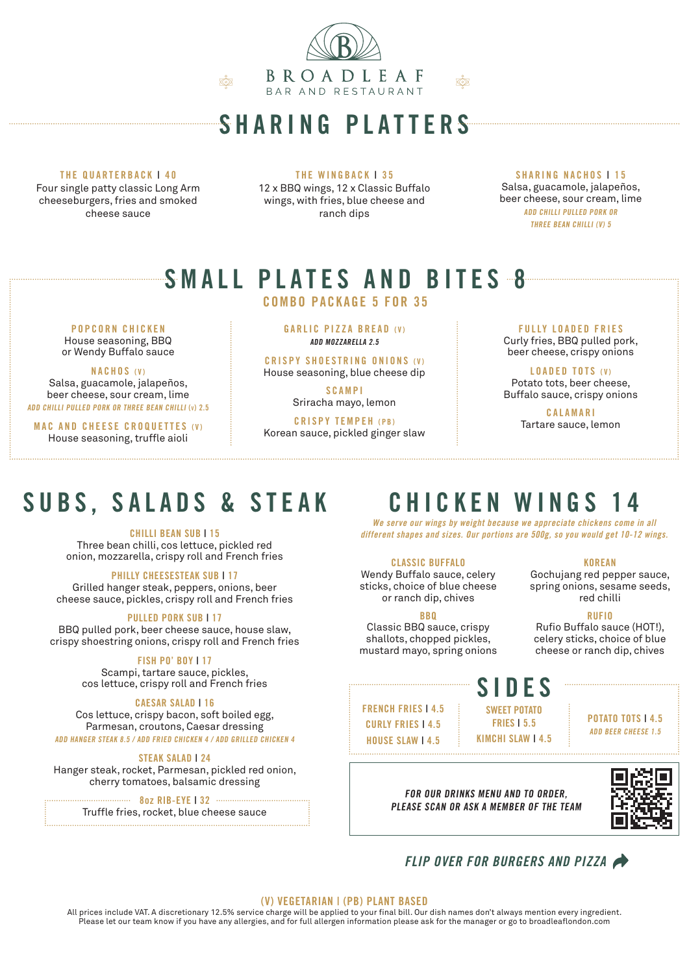

### SHARING PLATTERS

#### THE QUARTERBACK | 40

Four single patty classic Long Arm cheeseburgers, fries and smoked cheese sauce

THE WINGBACK | 35 12 x BBQ wings, 12 x Classic Buffalo

wings, with fries, blue cheese and ranch dips

SHARING NACHOS | 15 Salsa, guacamole, jalapeños, beer cheese, sour cream, lime ADD CHILLI PULLED PORK OR THREE BEAN CHILLI (V) 5

# SMALL PLATES AND BITES 8

COMBO PACKAGE 5 FOR 35

POPCORN CHICKEN House seasoning, BBQ

or Wendy Buffalo sauce

### NACHOS (V)

Salsa, guacamole, jalapeños, beer cheese, sour cream, lime ADD CHILLI PULLED PORK OR THREE BEAN CHILLI (v) 2.5

MAC AND CHEESE CROQUETTES (V) House seasoning, truffle aioli

GARLIC PIZZA BREAD (V) ADD MOZZARELLA 2.5

CRISPY SHOESTRING ONIONS (V) House seasoning, blue cheese dip

> SCAMPI Sriracha mayo, lemon

CRISPY TEMPEH (PB)

Korean sauce, pickled ginger slaw

### **FULLY LOADED FRIES** Curly fries, BBQ pulled pork,

beer cheese, crispy onions

LOADED TOTS (V) Potato tots, beer cheese, Buffalo sauce, crispy onions

> C A L A M A R I Tartare sauce, lemon

# SUBS, SALADS & STEAK

### CHILLI BEAN SUB | 15

Three bean chilli, cos lettuce, pickled red onion, mozzarella, crispy roll and French fries

### PHILLY CHEESESTEAK SUB | 17

Grilled hanger steak, peppers, onions, beer cheese sauce, pickles, crispy roll and French fries

### PULLED PORK SUB | 17

BBQ pulled pork, beer cheese sauce, house slaw, crispy shoestring onions, crispy roll and French fries

### FISH PO' BOY I 17

Scampi, tartare sauce, pickles, cos lettuce, crispy roll and French fries

### CAESAR SALAD | 16

Cos lettuce, crispy bacon, soft boiled egg, Parmesan, croutons, Caesar dressing ADD HANGER STEAK 8.5 / ADD FRIED CHICKEN 4 / ADD GRILLED CHICKEN 4

### STEAK SALAD | 24

Hanger steak, rocket, Parmesan, pickled red onion, cherry tomatoes, balsamic dressing

8oz RIB-EYE | 32 Truffle fries, rocket, blue cheese sauce

## CHICKEN WINGS 14

We serve our wings by weight because we appreciate chickens come in all different shapes and sizes. Our portions are 500g, so you would get 10-12 wings.

### CLASSIC BUFFALO

Wendy Buffalo sauce, celery sticks, choice of blue cheese or ranch dip, chives

#### **BRO**

Classic BBQ sauce, crispy shallots, chopped pickles, mustard mayo, spring onions

### SIDES

FRENCH FRIES | 4.5 CURLY FRIES | 4.5 HOUSE SLAW | 4.5

POTATO TOTS | 4.5 ADD BEER CHEESE 1.5

FOR OUR DRINKS MENU AND TO ORDER, PLEASE SCAN OR ASK A MEMBER OF THE TEAM



### FLIP OVER FOR BURGERS AND PIZZA  $\overline{\phantom{a}}$

### (V) VEGETARIAN | (PB) PLANT BASED

All prices include VAT. A discretionary 12.5% service charge will be applied to your final bill. Our dish names don't always mention every ingredient. Please let our team know if you have any allergies, and for full allergen information please ask for the manager or go to broadleaflondon.com

KOREAN

Gochujang red pepper sauce, spring onions, sesame seeds, red chilli

### RUFIO

Rufio Buffalo sauce (HOT!), celery sticks, choice of blue cheese or ranch dip, chives

SWEET POTATO FRIES | 5.5 KIMCHI SLAW | 4.5